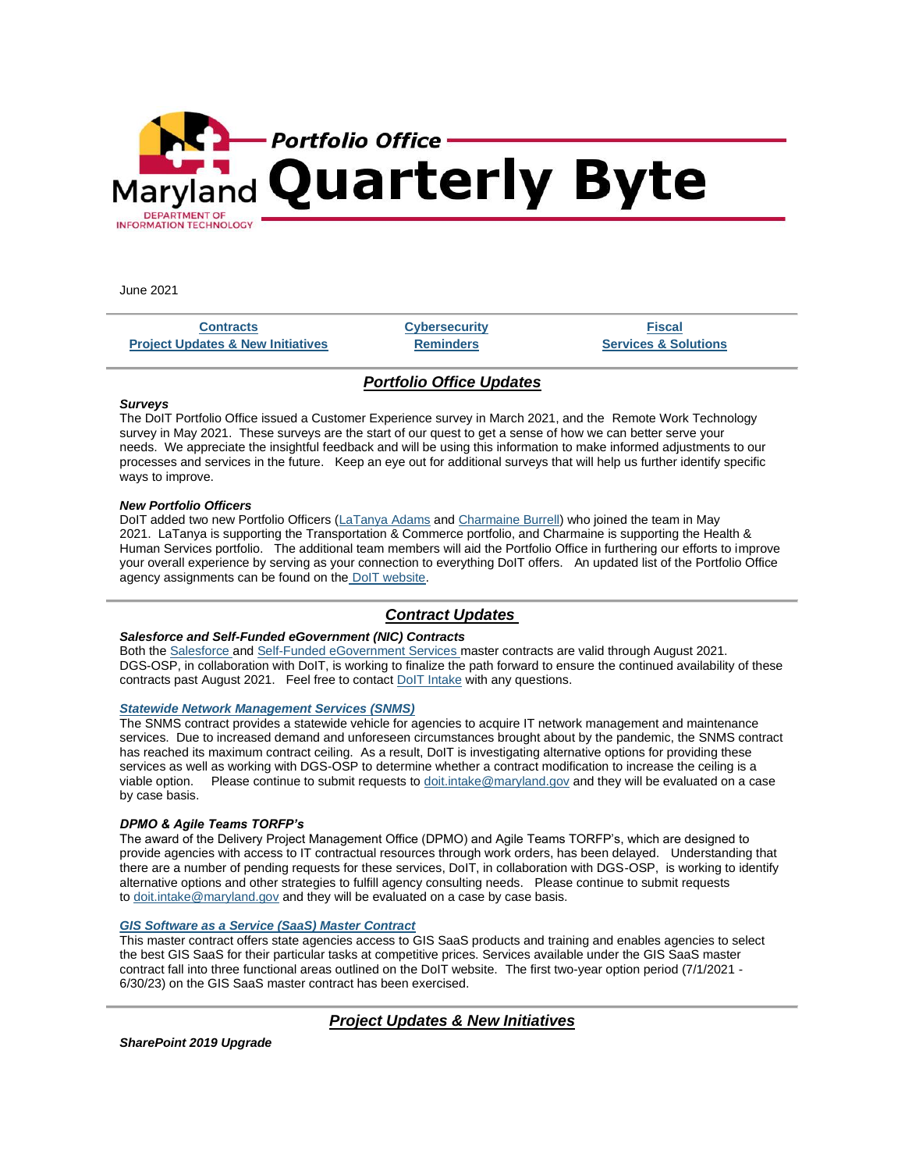

June 2021

**[Contracts](https://mail.google.com/mail/u/0/#m_-6275817021247036115_ContractUpdates) [Cybersecurity](https://mail.google.com/mail/u/0/#m_-6275817021247036115_ITSecurity) [Fiscal](https://mail.google.com/mail/u/0/#m_-6275817021247036115_Fiscal) [Project Updates & New Initiatives](https://mail.google.com/mail/u/0/#m_-6275817021247036115_Update) [Reminders](https://mail.google.com/mail/u/0/#m_-6275817021247036115_Reminders) [Services & Solutions](https://mail.google.com/mail/u/0/#m_-6275817021247036115_Services-Solutions)**

# *Portfolio Office Updates*

### *Surveys*

The DoIT Portfolio Office issued a Customer Experience survey in March 2021, and the Remote Work Technology survey in May 2021. These surveys are the start of our quest to get a sense of how we can better serve your needs. We appreciate the insightful feedback and will be using this information to make informed adjustments to our processes and services in the future. Keep an eye out for additional surveys that will help us further identify specific ways to improve.

### *New Portfolio Officers*

DoIT added two new Portfolio Officers [\(LaTanya Adams](mailto:latanya.adams@maryland.gov) and [Charmaine Burrell\)](mailto:charmainel.burrell@maryland.gov) who joined the team in May 2021. LaTanya is supporting the Transportation & Commerce portfolio, and Charmaine is supporting the Health & Human Services portfolio. The additional team members will aid the Portfolio Office in furthering our efforts to improve your overall experience by serving as your connection to everything DoIT offers. An updated list of the Portfolio Office agency assignments can be found on the [DoIT website.](https://lnks.gd/l/eyJhbGciOiJIUzI1NiJ9.eyJidWxsZXRpbl9saW5rX2lkIjoxMDAsInVyaSI6ImJwMjpjbGljayIsImJ1bGxldGluX2lkIjoiMjAyMTA2MTEuNDE4MzUzNzEiLCJ1cmwiOiJodHRwczovL2RvaXQubWFyeWxhbmQuZ292L3N1cHBvcnQvUGFnZXMvcG9ydGZvbGlvLW9mZmljZXJzLmFzcHgifQ.VBw__F10jUBQqA0oRETelc58wlb1Dux1Uos8BAmwST8/s/267717117/br/107826916363-l)

# *Contract Updates*

## *Salesforce and Self-Funded eGovernment (NIC) Contracts*

Both the [Salesforce](https://lnks.gd/l/eyJhbGciOiJIUzI1NiJ9.eyJidWxsZXRpbl9saW5rX2lkIjoxMDEsInVyaSI6ImJwMjpjbGljayIsImJ1bGxldGluX2lkIjoiMjAyMTA2MTEuNDE4MzUzNzEiLCJ1cmwiOiJodHRwczovL2RvaXQubWFyeWxhbmQuZ292L2NvbnRyYWN0cy9QYWdlcy9Db250cmFjdExpYnJhcnktU2FsZXNmb3JjZS1MaWNlbnNlcy0yMDE2LmFzcHgifQ.RjALSJoN9lyRWAZfeh2gGnxRsF2emhzQb1btpZh7kV8/s/267717117/br/107826916363-l) and [Self-Funded eGovernment Services](https://lnks.gd/l/eyJhbGciOiJIUzI1NiJ9.eyJidWxsZXRpbl9saW5rX2lkIjoxMDIsInVyaSI6ImJwMjpjbGljayIsImJ1bGxldGluX2lkIjoiMjAyMTA2MTEuNDE4MzUzNzEiLCJ1cmwiOiJodHRwczovL2RvaXQubWFyeWxhbmQuZ292L2NvbnRyYWN0cy9QYWdlcy9lR292U2VydmljZXMuYXNweCJ9.bro39rTpuLPUwT7EGo35qwUtYCHVGv4_DdKe3VlTeRw/s/267717117/br/107826916363-l) master contracts are valid through August 2021. DGS-OSP, in collaboration with DoIT, is working to finalize the path forward to ensure the continued availability of these contracts past August 2021. Feel free to contact [DoIT Intake](mailto:doit.intake@maryland.gov) with any questions.

## *[Statewide Network Management Services \(SNMS\)](https://lnks.gd/l/eyJhbGciOiJIUzI1NiJ9.eyJidWxsZXRpbl9saW5rX2lkIjoxMDMsInVyaSI6ImJwMjpjbGljayIsImJ1bGxldGluX2lkIjoiMjAyMTA2MTEuNDE4MzUzNzEiLCJ1cmwiOiJodHRwczovL2RvaXQubWFyeWxhbmQuZ292L2NvbnRyYWN0cy9QYWdlcy9Db250cmFjdExpYnJhcnktU05NUy5hc3B4In0.tIjiOXAcW0XZhp27l0CsTtlZY9m09mMUqrKgckfdhwg/s/267717117/br/107826916363-l)*

The SNMS contract provides a statewide vehicle for agencies to acquire IT network management and maintenance services. Due to increased demand and unforeseen circumstances brought about by the pandemic, the SNMS contract has reached its maximum contract ceiling. As a result, DoIT is investigating alternative options for providing these services as well as working with DGS-OSP to determine whether a contract modification to increase the ceiling is a viable option. Please continue to submit requests to [doit.intake@maryland.gov](mailto:doit.intake@maryland.gov) and they will be evaluated on a case by case basis.

## *DPMO & Agile Teams TORFP's*

The award of the Delivery Project Management Office (DPMO) and Agile Teams TORFP's, which are designed to provide agencies with access to IT contractual resources through work orders, has been delayed. Understanding that there are a number of pending requests for these services, DoIT, in collaboration with DGS-OSP, is working to identify alternative options and other strategies to fulfill agency consulting needs. Please continue to submit requests to [doit.intake@maryland.gov](mailto:doit.intake@maryland.gov) and they will be evaluated on a case by case basis.

## *[GIS Software as a Service \(SaaS\) Master Contract](https://lnks.gd/l/eyJhbGciOiJIUzI1NiJ9.eyJidWxsZXRpbl9saW5rX2lkIjoxMDQsInVyaSI6ImJwMjpjbGljayIsImJ1bGxldGluX2lkIjoiMjAyMTA2MTEuNDE4MzUzNzEiLCJ1cmwiOiJodHRwczovL2RvaXQubWFyeWxhbmQuZ292L2NvbnRyYWN0cy9QYWdlcy9HSVNTYWFTUE9SRlBQcm9jZWR1cmVzLmFzcHgifQ.e_1qdsJwEo3_8nCFb3_oY1m6e00ZMM021d1ncykdJqw/s/267717117/br/107826916363-l)*

This master contract offers state agencies access to GIS SaaS products and training and enables agencies to select the best GIS SaaS for their particular tasks at competitive prices. Services available under the GIS SaaS master contract fall into three functional areas outlined on the DoIT website. The first two-year option period (7/1/2021 - 6/30/23) on the GIS SaaS master contract has been exercised.

# *Project Updates & New Initiatives*

*SharePoint 2019 Upgrade*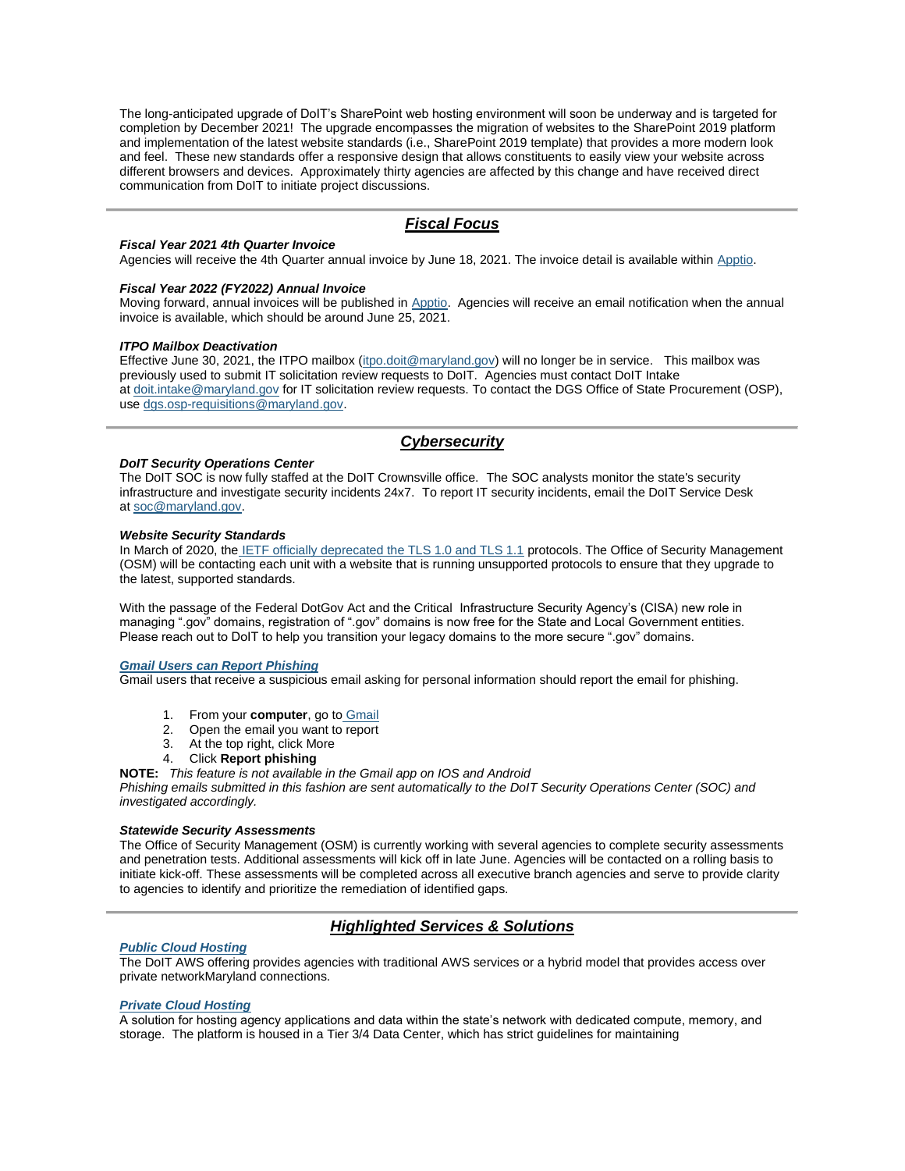The long-anticipated upgrade of DoIT's SharePoint web hosting environment will soon be underway and is targeted for completion by December 2021! The upgrade encompasses the migration of websites to the SharePoint 2019 platform and implementation of the latest website standards (i.e., SharePoint 2019 template) that provides a more modern look and feel. These new standards offer a responsive design that allows constituents to easily view your website across different browsers and devices. Approximately thirty agencies are affected by this change and have received direct communication from DoIT to initiate project discussions.

## *Fiscal Focus*

#### *Fiscal Year 2021 4th Quarter Invoice*

Agencies will receive the 4th Quarter annual invoice by June 18, 2021. The invoice detail is available within [Apptio.](https://lnks.gd/l/eyJhbGciOiJIUzI1NiJ9.eyJidWxsZXRpbl9saW5rX2lkIjoxMDUsInVyaSI6ImJwMjpjbGljayIsImJ1bGxldGluX2lkIjoiMjAyMTA2MTEuNDE4MzUzNzEiLCJ1cmwiOiJodHRwOi8vZnJvbnRkb29yLmFwcHRpby5jb20ifQ.Ynnpb3vqVrRF9oIpp4ioe9ATdWunndDwcnt0jaWwFzY/s/267717117/br/107826916363-l)

#### *Fiscal Year 2022 (FY2022) Annual Invoice*

Moving forward, annual invoices will be published in [Apptio.](https://lnks.gd/l/eyJhbGciOiJIUzI1NiJ9.eyJidWxsZXRpbl9saW5rX2lkIjoxMDYsInVyaSI6ImJwMjpjbGljayIsImJ1bGxldGluX2lkIjoiMjAyMTA2MTEuNDE4MzUzNzEiLCJ1cmwiOiJodHRwOi8vZnJvbnRkb29yLmFwcHRpby5jb20ifQ.FRl1yzYzZ9Gx7qRyiyvAASBrNaqKvOtJYPVyp7VnouI/s/267717117/br/107826916363-l) Agencies will receive an email notification when the annual invoice is available, which should be around June 25, 2021.

#### *ITPO Mailbox Deactivation*

Effective June 30, 2021, the ITPO mailbox [\(itpo.doit@maryland.gov\)](mailto:itpo.xxx@maryland.gov) will no longer be in service. This mailbox was previously used to submit IT solicitation review requests to DoIT. Agencies must contact DoIT Intake at [doit.intake@maryland.gov](mailto:doit.intake@maryland.gov) for IT solicitation review requests. To contact the DGS Office of State Procurement (OSP), use [dgs.osp-requisitions@maryland.gov.](mailto:dsg.ospxxxxx@maryland.gov) 

## *Cybersecurity*

#### *DoIT Security Operations Center*

The DoIT SOC is now fully staffed at the DoIT Crownsville office. The SOC analysts monitor the state's security infrastructure and investigate security incidents 24x7. To report IT security incidents, email the DoIT Service Desk at [soc@maryland.gov.](mailto:soc@maryland.gov)

#### *Website Security Standards*

In March of 2020, the [IETF officially deprecated the TLS 1.0 and TLS 1.1](https://lnks.gd/l/eyJhbGciOiJIUzI1NiJ9.eyJidWxsZXRpbl9saW5rX2lkIjoxMDcsInVyaSI6ImJwMjpjbGljayIsImJ1bGxldGluX2lkIjoiMjAyMTA2MTEuNDE4MzUzNzEiLCJ1cmwiOiJodHRwczovL2RhdGF0cmFja2VyLmlldGYub3JnL2RvYy9yZmM4OTk2LyJ9.4djfLjlm-ZyEgz6mezYS5n1Hn5CGbVamNXib7sUEhWU/s/267717117/br/107826916363-l) protocols. The Office of Security Management (OSM) will be contacting each unit with a website that is running unsupported protocols to ensure that they upgrade to the latest, supported standards.

With the passage of the Federal DotGov Act and the Critical Infrastructure Security Agency's (CISA) new role in managing ".gov" domains, registration of ".gov" domains is now free for the State and Local Government entities. Please reach out to DoIT to help you transition your legacy domains to the more secure ".gov" domains.

#### *[Gmail Users can Report Phishing](https://lnks.gd/l/eyJhbGciOiJIUzI1NiJ9.eyJidWxsZXRpbl9saW5rX2lkIjoxMDgsInVyaSI6ImJwMjpjbGljayIsImJ1bGxldGluX2lkIjoiMjAyMTA2MTEuNDE4MzUzNzEiLCJ1cmwiOiJodHRwczovL3N1cHBvcnQuZ29vZ2xlLmNvbS9tYWlsL2Fuc3dlci84MjUzP2hsPWVuI3ppcHB5PSUyQ3JlcG9ydC1hLXBoaXNoaW5nLWVtYWlsIn0.iXYSScDwNAmRa7A117Am4sRLBYcs8DXFwX2pOVRl-sk/s/267717117/br/107826916363-l)*

Gmail users that receive a suspicious email asking for personal information should report the email for phishing.

- 1. From your **computer**, go to [Gmail](https://lnks.gd/l/eyJhbGciOiJIUzI1NiJ9.eyJidWxsZXRpbl9saW5rX2lkIjoxMDksInVyaSI6ImJwMjpjbGljayIsImJ1bGxldGluX2lkIjoiMjAyMTA2MTEuNDE4MzUzNzEiLCJ1cmwiOiJodHRwczovL21haWwuZ29vZ2xlLmNvbS8ifQ.cOcAdYv4Jb43m8uSv_oE8_pKBgD07Gt_pyWgu1SMZsI/s/267717117/br/107826916363-l)
- 2. Open the email you want to report
- 3. At the top right, click More
- 4. Click **Report phishing**
- **NOTE:** *This feature is not available in the Gmail app on IOS and Android*

*Phishing emails submitted in this fashion are sent automatically to the DoIT Security Operations Center (SOC) and investigated accordingly.*

#### *Statewide Security Assessments*

The Office of Security Management (OSM) is currently working with several agencies to complete security assessments and penetration tests. Additional assessments will kick off in late June. Agencies will be contacted on a rolling basis to initiate kick-off. These assessments will be completed across all executive branch agencies and serve to provide clarity to agencies to identify and prioritize the remediation of identified gaps.

## *Highlighted Services & Solutions*

### *[Public Cloud Hosting](https://lnks.gd/l/eyJhbGciOiJIUzI1NiJ9.eyJidWxsZXRpbl9saW5rX2lkIjoxMTAsInVyaSI6ImJwMjpjbGljayIsImJ1bGxldGluX2lkIjoiMjAyMTA2MTEuNDE4MzUzNzEiLCJ1cmwiOiJodHRwczovL2RvaXQubWFyeWxhbmQuZ292L3N1cHBvcnQvUGFnZXMvc2NfaXNfcGNocy5hc3B4In0.GuwMbVFMd2-ifI7pKIZSd1XjI_4atSZ-oZAxLYz_aMU/s/267717117/br/107826916363-l)*

The DoIT AWS offering provides agencies with traditional AWS services or a hybrid model that provides access over private networkMaryland connections.

#### *[Private Cloud Hosting](https://lnks.gd/l/eyJhbGciOiJIUzI1NiJ9.eyJidWxsZXRpbl9saW5rX2lkIjoxMTEsInVyaSI6ImJwMjpjbGljayIsImJ1bGxldGluX2lkIjoiMjAyMTA2MTEuNDE4MzUzNzEiLCJ1cmwiOiJodHRwczovL2RvaXQubWFyeWxhbmQuZ292L3N1cHBvcnQvUGFnZXMvc2VydmVyLXN0b3JhZ2Utc2VydmljZXMuYXNweCJ9._R6_sFUDdnTpPgKtUFvVXzFWAokS5-K4GuF3zGalqmw/s/267717117/br/107826916363-l)*

A solution for hosting agency applications and data within the state's network with dedicated compute, memory, and storage. The platform is housed in a Tier 3/4 Data Center, which has strict guidelines for maintaining